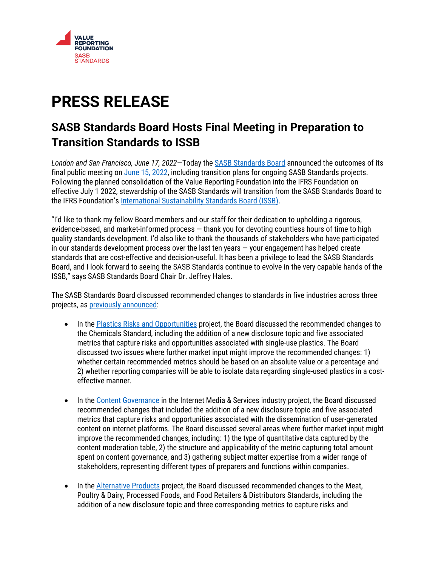

## **PRESS RELEASE**

## **SASB Standards Board Hosts Final Meeting in Preparation to Transition Standards to ISSB**

*London and San Francisco, June 17, 2022*—Today the [SASB Standards Board](https://www.sasb.org/about/governance/standards-board/) announced the outcomes of its final public meeting o[n June](https://www.sasb.org/standards/calendar/) 15, 2022, including transition plans for ongoing SASB Standards projects. Following the planned consolidation of the Value Reporting Foundation into the IFRS Foundation on effective July 1 2022, stewardship of the SASB Standards will transition from the SASB Standards Board to the IFRS Foundation's [International Sustainability Standards Board \(ISSB\).](https://www.ifrs.org/groups/international-sustainability-standards-board/)

"I'd like to thank my fellow Board members and our staff for their dedication to upholding a rigorous, evidence-based, and market-informed process — thank you for devoting countless hours of time to high quality standards development. I'd also like to thank the thousands of stakeholders who have participated in our standards development process over the last ten years — your engagement has helped create standards that are cost-effective and decision-useful. It has been a privilege to lead the SASB Standards Board, and I look forward to seeing the SASB Standards continue to evolve in the very capable hands of the ISSB," says SASB Standards Board Chair Dr. Jeffrey Hales.

The SASB Standards Board discussed recommended changes to standards in five industries across three projects, as [previously announced:](https://www.sasb.org/wp-content/uploads/2022/06/Recommended-Changes-Press-Release-Final.pdf)

- In the [Plastics Risks and Opportunities](https://www.sasb.org/standards/process/active-projects/plastics-risks-and-opportunities-in-pulp-paper-products-and-chemicals-industries/) project, the Board discussed the recommended changes to the Chemicals Standard, including the addition of a new disclosure topic and five associated metrics that capture risks and opportunities associated with single-use plastics. The Board discussed two issues where further market input might improve the recommended changes: 1) whether certain recommended metrics should be based on an absolute value or a percentage and 2) whether reporting companies will be able to isolate data regarding single-used plastics in a costeffective manner.
- In the [Content Governance](https://www.sasb.org/standards/process/active-projects/content-governance-in-the-internet-media-and-services-industry/) in the Internet Media & Services industry project, the Board discussed recommended changes that included the addition of a new disclosure topic and five associated metrics that capture risks and opportunities associated with the dissemination of user-generated content on internet platforms. The Board discussed several areas where further market input might improve the recommended changes, including: 1) the type of quantitative data captured by the content moderation table, 2) the structure and applicability of the metric capturing total amount spent on content governance, and 3) gathering subject matter expertise from a wider range of stakeholders, representing different types of preparers and functions within companies.
- In the [Alternative Products](https://www.sasb.org/standards/process/active-projects/alternative-products-in-food-beverage/) project, the Board discussed recommended changes to the Meat, Poultry & Dairy, Processed Foods, and Food Retailers & Distributors Standards, including the addition of a new disclosure topic and three corresponding metrics to capture risks and